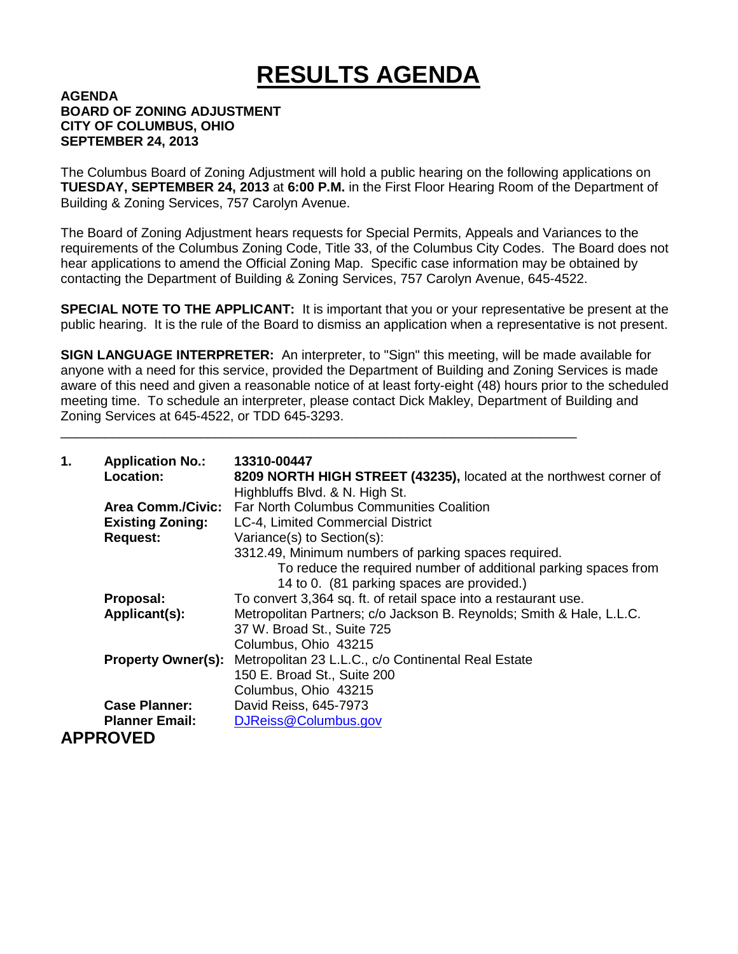# **RESULTS AGENDA**

#### **AGENDA BOARD OF ZONING ADJUSTMENT CITY OF COLUMBUS, OHIO SEPTEMBER 24, 2013**

The Columbus Board of Zoning Adjustment will hold a public hearing on the following applications on **TUESDAY, SEPTEMBER 24, 2013** at **6:00 P.M.** in the First Floor Hearing Room of the Department of Building & Zoning Services, 757 Carolyn Avenue.

The Board of Zoning Adjustment hears requests for Special Permits, Appeals and Variances to the requirements of the Columbus Zoning Code, Title 33, of the Columbus City Codes. The Board does not hear applications to amend the Official Zoning Map. Specific case information may be obtained by contacting the Department of Building & Zoning Services, 757 Carolyn Avenue, 645-4522.

**SPECIAL NOTE TO THE APPLICANT:** It is important that you or your representative be present at the public hearing. It is the rule of the Board to dismiss an application when a representative is not present.

**SIGN LANGUAGE INTERPRETER:** An interpreter, to "Sign" this meeting, will be made available for anyone with a need for this service, provided the Department of Building and Zoning Services is made aware of this need and given a reasonable notice of at least forty-eight (48) hours prior to the scheduled meeting time. To schedule an interpreter, please contact Dick Makley, Department of Building and Zoning Services at 645-4522, or TDD 645-3293.

\_\_\_\_\_\_\_\_\_\_\_\_\_\_\_\_\_\_\_\_\_\_\_\_\_\_\_\_\_\_\_\_\_\_\_\_\_\_\_\_\_\_\_\_\_\_\_\_\_\_\_\_\_\_\_\_\_\_\_\_\_\_\_\_\_\_\_\_\_\_

| 1. | <b>Application No.:</b><br>Location: | 13310-00447<br>8209 NORTH HIGH STREET (43235), located at the northwest corner of<br>Highbluffs Blvd. & N. High St. |
|----|--------------------------------------|---------------------------------------------------------------------------------------------------------------------|
|    | <b>Area Comm./Civic:</b>             | <b>Far North Columbus Communities Coalition</b>                                                                     |
|    | <b>Existing Zoning:</b>              | LC-4, Limited Commercial District                                                                                   |
|    | <b>Request:</b>                      | Variance(s) to Section(s):                                                                                          |
|    |                                      | 3312.49, Minimum numbers of parking spaces required.                                                                |
|    |                                      | To reduce the required number of additional parking spaces from                                                     |
|    |                                      | 14 to 0. (81 parking spaces are provided.)                                                                          |
|    | Proposal:                            | To convert 3,364 sq. ft. of retail space into a restaurant use.                                                     |
|    | Applicant(s):                        | Metropolitan Partners; c/o Jackson B. Reynolds; Smith & Hale, L.L.C.                                                |
|    |                                      | 37 W. Broad St., Suite 725                                                                                          |
|    |                                      | Columbus, Ohio 43215                                                                                                |
|    | <b>Property Owner(s):</b>            | Metropolitan 23 L.L.C., c/o Continental Real Estate                                                                 |
|    |                                      | 150 E. Broad St., Suite 200                                                                                         |
|    |                                      | Columbus, Ohio 43215                                                                                                |
|    | <b>Case Planner:</b>                 | David Reiss, 645-7973                                                                                               |
|    | <b>Planner Email:</b>                | DJReiss@Columbus.gov                                                                                                |
|    | <b>APPROVED</b>                      |                                                                                                                     |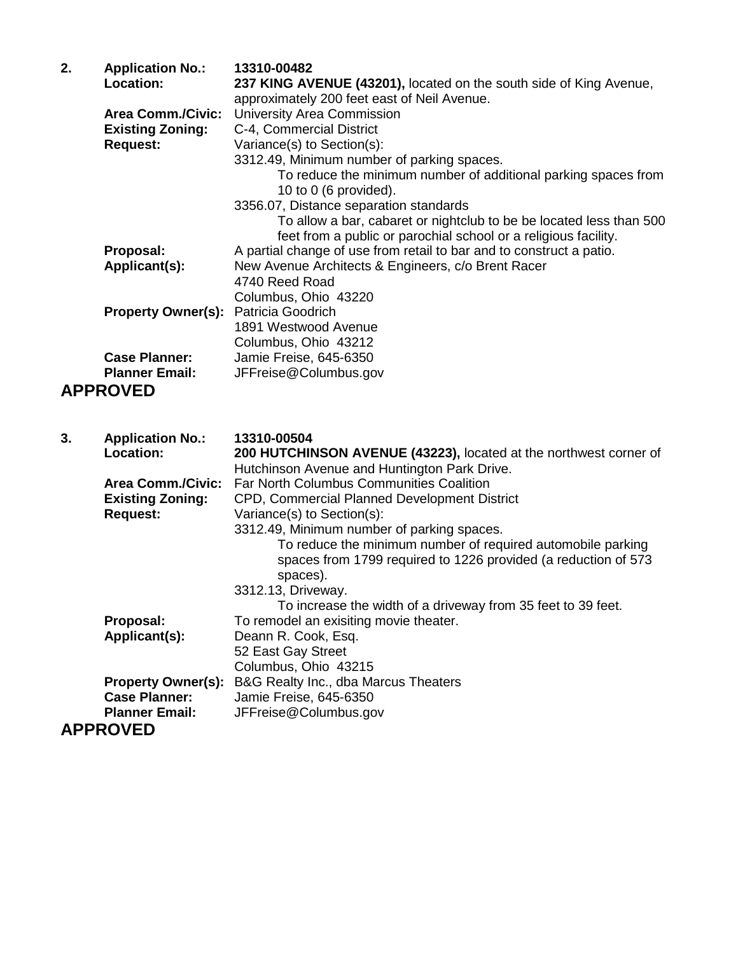| 2. | <b>Application No.:</b><br>Location:                                       | 13310-00482<br>237 KING AVENUE (43201), located on the south side of King Avenue,                                                                                                                                                                                                                                                                                                                    |
|----|----------------------------------------------------------------------------|------------------------------------------------------------------------------------------------------------------------------------------------------------------------------------------------------------------------------------------------------------------------------------------------------------------------------------------------------------------------------------------------------|
|    | <b>Area Comm./Civic:</b><br><b>Existing Zoning:</b><br><b>Request:</b>     | approximately 200 feet east of Neil Avenue.<br><b>University Area Commission</b><br>C-4, Commercial District<br>Variance(s) to Section(s):<br>3312.49, Minimum number of parking spaces.<br>To reduce the minimum number of additional parking spaces from<br>10 to 0 (6 provided).<br>3356.07, Distance separation standards<br>To allow a bar, cabaret or nightclub to be be located less than 500 |
|    | Proposal:<br>Applicant(s):                                                 | feet from a public or parochial school or a religious facility.<br>A partial change of use from retail to bar and to construct a patio.<br>New Avenue Architects & Engineers, c/o Brent Racer<br>4740 Reed Road<br>Columbus, Ohio 43220                                                                                                                                                              |
|    | <b>Property Owner(s):</b>                                                  | <b>Patricia Goodrich</b><br>1891 Westwood Avenue<br>Columbus, Ohio 43212                                                                                                                                                                                                                                                                                                                             |
|    | <b>Case Planner:</b><br><b>Planner Email:</b><br><b>APPROVED</b>           | Jamie Freise, 645-6350<br>JFFreise@Columbus.gov                                                                                                                                                                                                                                                                                                                                                      |
|    |                                                                            |                                                                                                                                                                                                                                                                                                                                                                                                      |
|    |                                                                            |                                                                                                                                                                                                                                                                                                                                                                                                      |
| 3. | <b>Application No.:</b><br>Location:                                       | 13310-00504<br>200 HUTCHINSON AVENUE (43223), located at the northwest corner of                                                                                                                                                                                                                                                                                                                     |
|    | <b>Area Comm./Civic:</b><br><b>Existing Zoning:</b><br><b>Request:</b>     | Hutchinson Avenue and Huntington Park Drive.<br><b>Far North Columbus Communities Coalition</b><br>CPD, Commercial Planned Development District<br>Variance(s) to Section(s):                                                                                                                                                                                                                        |
|    |                                                                            | 3312.49, Minimum number of parking spaces.<br>To reduce the minimum number of required automobile parking<br>spaces from 1799 required to 1226 provided (a reduction of 573<br>spaces).<br>3312.13, Driveway.                                                                                                                                                                                        |
|    | Proposal:<br>Applicant(s):                                                 | To increase the width of a driveway from 35 feet to 39 feet.<br>To remodel an exisiting movie theater.<br>Deann R. Cook, Esq.<br>52 East Gay Street                                                                                                                                                                                                                                                  |
|    | <b>Property Owner(s):</b><br><b>Case Planner:</b><br><b>Planner Email:</b> | Columbus, Ohio 43215<br>B&G Realty Inc., dba Marcus Theaters<br>Jamie Freise, 645-6350<br>JFFreise@Columbus.gov                                                                                                                                                                                                                                                                                      |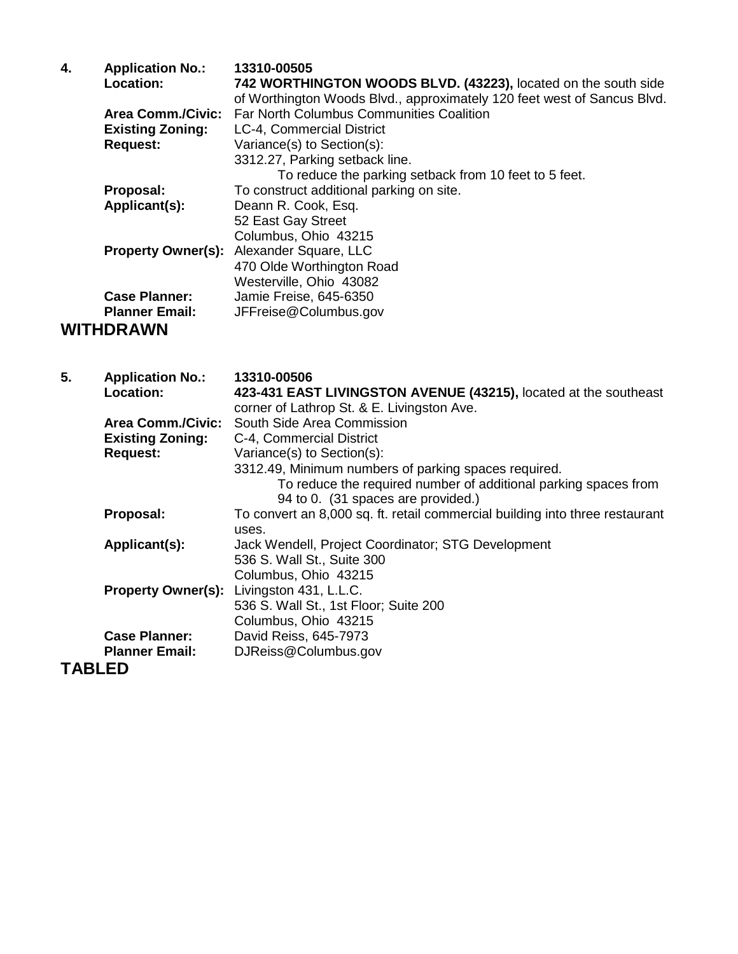| 4. | <b>Application No.:</b>  | 13310-00505                                                             |
|----|--------------------------|-------------------------------------------------------------------------|
|    | <b>Location:</b>         | 742 WORTHINGTON WOODS BLVD. (43223), located on the south side          |
|    |                          | of Worthington Woods Blvd., approximately 120 feet west of Sancus Blvd. |
|    | <b>Area Comm./Civic:</b> | <b>Far North Columbus Communities Coalition</b>                         |
|    | <b>Existing Zoning:</b>  | LC-4, Commercial District                                               |
|    | <b>Request:</b>          | Variance(s) to Section(s):                                              |
|    |                          | 3312.27, Parking setback line.                                          |
|    |                          | To reduce the parking setback from 10 feet to 5 feet.                   |
|    | Proposal:                | To construct additional parking on site.                                |
|    | Applicant(s):            | Deann R. Cook, Esq.                                                     |
|    |                          | 52 East Gay Street                                                      |
|    |                          | Columbus, Ohio 43215                                                    |
|    |                          | <b>Property Owner(s):</b> Alexander Square, LLC                         |
|    |                          | 470 Olde Worthington Road                                               |
|    |                          | Westerville, Ohio 43082                                                 |
|    | <b>Case Planner:</b>     | Jamie Freise, 645-6350                                                  |
|    | <b>Planner Email:</b>    | JFFreise@Columbus.gov                                                   |
|    | <b>WITHDRAWN</b>         |                                                                         |

| 5.     | <b>Application No.:</b><br><b>Location:</b> | 13310-00506<br>423-431 EAST LIVINGSTON AVENUE (43215), located at the southeast<br>corner of Lathrop St. & E. Livingston Ave. |
|--------|---------------------------------------------|-------------------------------------------------------------------------------------------------------------------------------|
|        |                                             | Area Comm./Civic: South Side Area Commission                                                                                  |
|        | <b>Existing Zoning:</b>                     | C-4, Commercial District                                                                                                      |
|        | <b>Request:</b>                             | Variance(s) to Section(s):                                                                                                    |
|        |                                             | 3312.49, Minimum numbers of parking spaces required.                                                                          |
|        |                                             | To reduce the required number of additional parking spaces from<br>94 to 0. (31 spaces are provided.)                         |
|        | Proposal:                                   | To convert an 8,000 sq. ft. retail commercial building into three restaurant                                                  |
|        |                                             | uses.                                                                                                                         |
|        | Applicant(s):                               | Jack Wendell, Project Coordinator; STG Development                                                                            |
|        |                                             | 536 S. Wall St., Suite 300                                                                                                    |
|        |                                             | Columbus, Ohio 43215                                                                                                          |
|        | <b>Property Owner(s):</b>                   | Livingston 431, L.L.C.                                                                                                        |
|        |                                             | 536 S. Wall St., 1st Floor; Suite 200                                                                                         |
|        |                                             | Columbus, Ohio 43215                                                                                                          |
|        | <b>Case Planner:</b>                        | David Reiss, 645-7973                                                                                                         |
|        | <b>Planner Email:</b>                       | DJReiss@Columbus.gov                                                                                                          |
| TABLED |                                             |                                                                                                                               |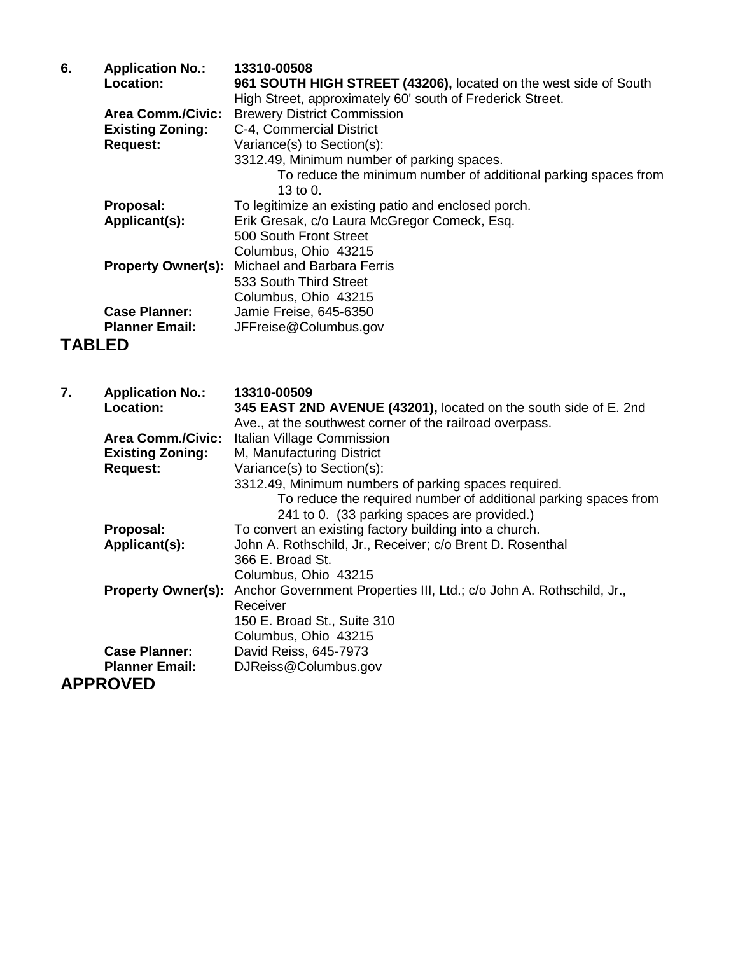| 6.            | <b>Application No.:</b>   | 13310-00508                                                      |
|---------------|---------------------------|------------------------------------------------------------------|
|               | Location:                 | 961 SOUTH HIGH STREET (43206), located on the west side of South |
|               |                           | High Street, approximately 60' south of Frederick Street.        |
|               | <b>Area Comm./Civic:</b>  | <b>Brewery District Commission</b>                               |
|               | <b>Existing Zoning:</b>   | C-4, Commercial District                                         |
|               | <b>Request:</b>           | Variance(s) to Section(s):                                       |
|               |                           | 3312.49, Minimum number of parking spaces.                       |
|               |                           | To reduce the minimum number of additional parking spaces from   |
|               |                           | 13 to 0.                                                         |
|               | Proposal:                 | To legitimize an existing patio and enclosed porch.              |
|               | Applicant(s):             | Erik Gresak, c/o Laura McGregor Comeck, Esq.                     |
|               |                           | 500 South Front Street                                           |
|               |                           | Columbus, Ohio 43215                                             |
|               | <b>Property Owner(s):</b> | Michael and Barbara Ferris                                       |
|               |                           | 533 South Third Street                                           |
|               |                           | Columbus, Ohio 43215                                             |
|               | <b>Case Planner:</b>      | Jamie Freise, 645-6350                                           |
|               | <b>Planner Email:</b>     | JFFreise@Columbus.gov                                            |
| <b>TABLED</b> |                           |                                                                  |

| 7. | <b>Application No.:</b>   | 13310-00509                                                          |
|----|---------------------------|----------------------------------------------------------------------|
|    | <b>Location:</b>          | 345 EAST 2ND AVENUE (43201), located on the south side of E. 2nd     |
|    |                           | Ave., at the southwest corner of the railroad overpass.              |
|    | <b>Area Comm./Civic:</b>  | Italian Village Commission                                           |
|    | <b>Existing Zoning:</b>   | M, Manufacturing District                                            |
|    | <b>Request:</b>           | Variance(s) to Section(s):                                           |
|    |                           | 3312.49, Minimum numbers of parking spaces required.                 |
|    |                           | To reduce the required number of additional parking spaces from      |
|    |                           | 241 to 0. (33 parking spaces are provided.)                          |
|    | Proposal:                 | To convert an existing factory building into a church.               |
|    | Applicant(s):             | John A. Rothschild, Jr., Receiver; c/o Brent D. Rosenthal            |
|    |                           | 366 E. Broad St.                                                     |
|    |                           | Columbus, Ohio 43215                                                 |
|    | <b>Property Owner(s):</b> | Anchor Government Properties III, Ltd.; c/o John A. Rothschild, Jr., |
|    |                           | Receiver                                                             |
|    |                           | 150 E. Broad St., Suite 310                                          |
|    |                           | Columbus, Ohio 43215                                                 |
|    | <b>Case Planner:</b>      | David Reiss, 645-7973                                                |
|    | <b>Planner Email:</b>     | DJReiss@Columbus.gov                                                 |
|    | <b>APPROVED</b>           |                                                                      |
|    |                           |                                                                      |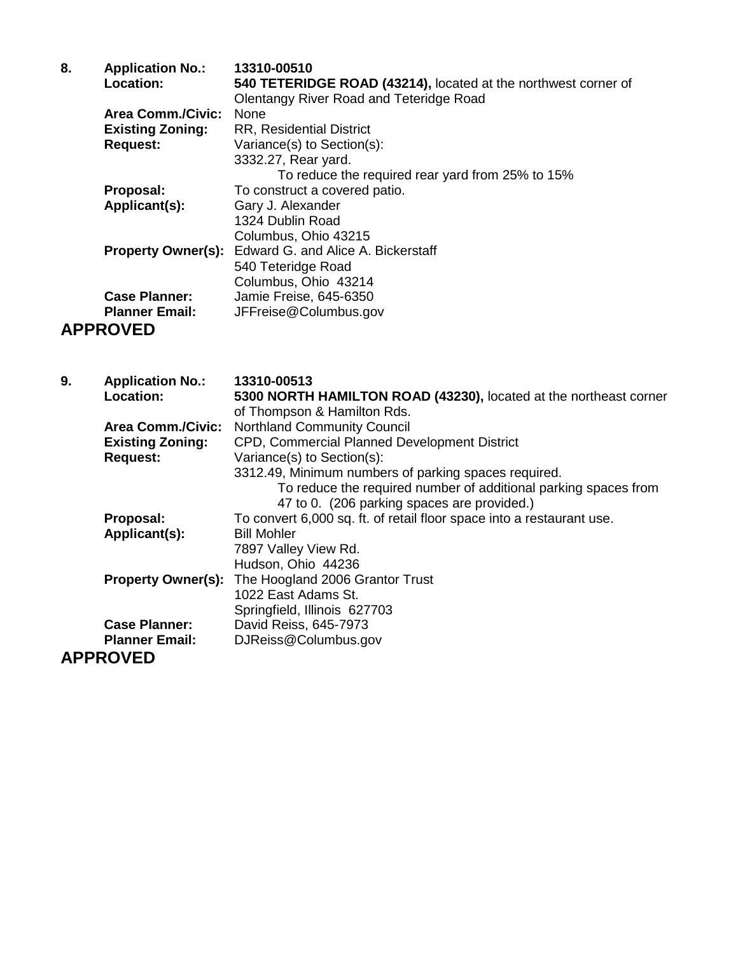| 8. | <b>Application No.:</b>   | 13310-00510                                                    |
|----|---------------------------|----------------------------------------------------------------|
|    | Location:                 | 540 TETERIDGE ROAD (43214), located at the northwest corner of |
|    |                           | <b>Olentangy River Road and Teteridge Road</b>                 |
|    | <b>Area Comm./Civic:</b>  | <b>None</b>                                                    |
|    | <b>Existing Zoning:</b>   | <b>RR, Residential District</b>                                |
|    | <b>Request:</b>           | Variance(s) to Section(s):                                     |
|    |                           | 3332.27, Rear yard.                                            |
|    |                           | To reduce the required rear yard from 25% to 15%               |
|    | Proposal:                 | To construct a covered patio.                                  |
|    | Applicant(s):             | Gary J. Alexander                                              |
|    |                           | 1324 Dublin Road                                               |
|    |                           | Columbus, Ohio 43215                                           |
|    | <b>Property Owner(s):</b> | Edward G. and Alice A. Bickerstaff                             |
|    |                           | 540 Teteridge Road                                             |
|    |                           | Columbus, Ohio 43214                                           |
|    | <b>Case Planner:</b>      | Jamie Freise, 645-6350                                         |
|    | <b>Planner Email:</b>     | JFFreise@Columbus.gov                                          |
|    | , DDDAVER                 |                                                                |

## **APPROVED**

| 9. | <b>Application No.:</b>   | 13310-00513                                                                                                    |
|----|---------------------------|----------------------------------------------------------------------------------------------------------------|
|    | <b>Location:</b>          | 5300 NORTH HAMILTON ROAD (43230), located at the northeast corner                                              |
|    |                           | of Thompson & Hamilton Rds.                                                                                    |
|    | <b>Area Comm./Civic:</b>  | <b>Northland Community Council</b>                                                                             |
|    | <b>Existing Zoning:</b>   | CPD, Commercial Planned Development District                                                                   |
|    | <b>Request:</b>           | Variance(s) to Section(s):                                                                                     |
|    |                           | 3312.49, Minimum numbers of parking spaces required.                                                           |
|    |                           | To reduce the required number of additional parking spaces from<br>47 to 0. (206 parking spaces are provided.) |
|    | Proposal:                 | To convert 6,000 sq. ft. of retail floor space into a restaurant use.                                          |
|    | Applicant(s):             | <b>Bill Mohler</b>                                                                                             |
|    |                           | 7897 Valley View Rd.                                                                                           |
|    |                           | Hudson, Ohio 44236                                                                                             |
|    | <b>Property Owner(s):</b> | The Hoogland 2006 Grantor Trust                                                                                |
|    |                           | 1022 East Adams St.                                                                                            |
|    |                           | Springfield, Illinois 627703                                                                                   |
|    | <b>Case Planner:</b>      | David Reiss, 645-7973                                                                                          |
|    | <b>Planner Email:</b>     | DJReiss@Columbus.gov                                                                                           |
|    | <b>APPROVED</b>           |                                                                                                                |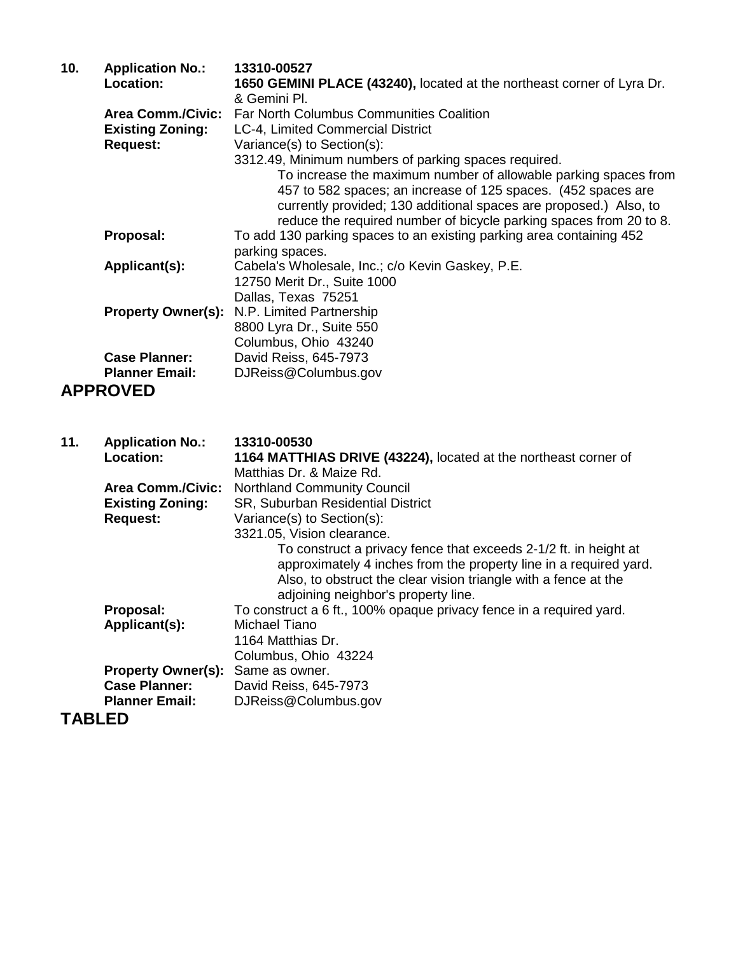| 10.           | <b>Application No.:</b><br><b>Location:</b>                            | 13310-00527<br>1650 GEMINI PLACE (43240), located at the northeast corner of Lyra Dr.<br>& Gemini Pl.                                                                                                                                                                                                                                                                                  |
|---------------|------------------------------------------------------------------------|----------------------------------------------------------------------------------------------------------------------------------------------------------------------------------------------------------------------------------------------------------------------------------------------------------------------------------------------------------------------------------------|
|               | <b>Area Comm./Civic:</b><br><b>Existing Zoning:</b><br><b>Request:</b> | <b>Far North Columbus Communities Coalition</b><br>LC-4, Limited Commercial District<br>Variance(s) to Section(s):<br>3312.49, Minimum numbers of parking spaces required.<br>To increase the maximum number of allowable parking spaces from<br>457 to 582 spaces; an increase of 125 spaces. (452 spaces are<br>currently provided; 130 additional spaces are proposed.) Also, to    |
|               | Proposal:                                                              | reduce the required number of bicycle parking spaces from 20 to 8.<br>To add 130 parking spaces to an existing parking area containing 452<br>parking spaces.                                                                                                                                                                                                                          |
|               | Applicant(s):                                                          | Cabela's Wholesale, Inc.; c/o Kevin Gaskey, P.E.<br>12750 Merit Dr., Suite 1000                                                                                                                                                                                                                                                                                                        |
|               | <b>Property Owner(s):</b>                                              | Dallas, Texas 75251<br>N.P. Limited Partnership<br>8800 Lyra Dr., Suite 550<br>Columbus, Ohio 43240                                                                                                                                                                                                                                                                                    |
|               | <b>Case Planner:</b>                                                   | David Reiss, 645-7973                                                                                                                                                                                                                                                                                                                                                                  |
|               | <b>Planner Email:</b>                                                  | DJReiss@Columbus.gov                                                                                                                                                                                                                                                                                                                                                                   |
|               | <b>APPROVED</b>                                                        |                                                                                                                                                                                                                                                                                                                                                                                        |
| 11.           | <b>Application No.:</b><br>Location:                                   | 13310-00530<br>1164 MATTHIAS DRIVE (43224), located at the northeast corner of<br>Matthias Dr. & Maize Rd.                                                                                                                                                                                                                                                                             |
|               | <b>Area Comm./Civic:</b><br><b>Existing Zoning:</b><br><b>Request:</b> | <b>Northland Community Council</b><br>SR, Suburban Residential District<br>Variance(s) to Section(s):<br>3321.05, Vision clearance.<br>To construct a privacy fence that exceeds 2-1/2 ft. in height at<br>approximately 4 inches from the property line in a required yard.<br>Also, to obstruct the clear vision triangle with a fence at the<br>adjoining neighbor's property line. |
|               | Proposal:<br>Applicant(s):                                             | To construct a 6 ft., 100% opaque privacy fence in a required yard.<br>Michael Tiano<br>1164 Matthias Dr.<br>Columbus, Ohio 43224                                                                                                                                                                                                                                                      |
|               |                                                                        |                                                                                                                                                                                                                                                                                                                                                                                        |
|               | <b>Property Owner(s):</b><br><b>Case Planner:</b>                      | Same as owner.<br>David Reiss, 645-7973                                                                                                                                                                                                                                                                                                                                                |
| <b>TABLED</b> | <b>Planner Email:</b>                                                  | DJReiss@Columbus.gov                                                                                                                                                                                                                                                                                                                                                                   |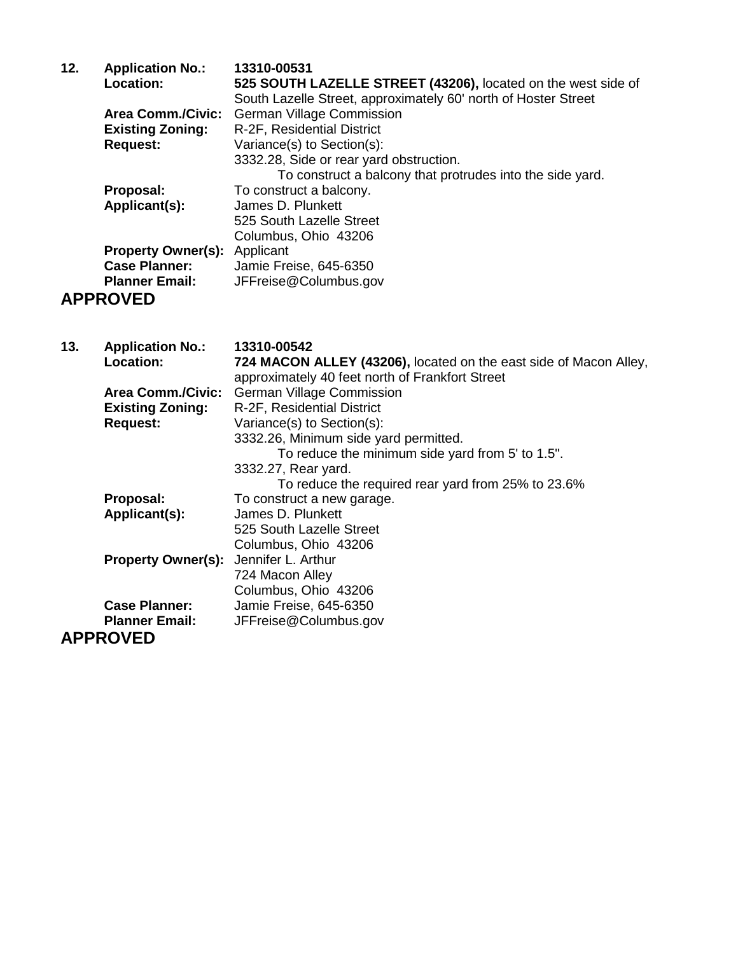| 12. | <b>Application No.:</b><br>Location: | 13310-00531<br>525 SOUTH LAZELLE STREET (43206), located on the west side of |
|-----|--------------------------------------|------------------------------------------------------------------------------|
|     |                                      | South Lazelle Street, approximately 60' north of Hoster Street               |
|     | <b>Area Comm./Civic:</b>             | <b>German Village Commission</b>                                             |
|     | <b>Existing Zoning:</b>              | R-2F, Residential District                                                   |
|     | <b>Request:</b>                      | Variance(s) to Section(s):                                                   |
|     |                                      | 3332.28, Side or rear yard obstruction.                                      |
|     |                                      | To construct a balcony that protrudes into the side yard.                    |
|     | Proposal:                            | To construct a balcony.                                                      |
|     | Applicant(s):                        | James D. Plunkett                                                            |
|     |                                      | 525 South Lazelle Street                                                     |
|     |                                      | Columbus, Ohio 43206                                                         |
|     | <b>Property Owner(s):</b>            | Applicant                                                                    |
|     | <b>Case Planner:</b>                 | Jamie Freise, 645-6350                                                       |
|     | <b>Planner Email:</b>                | JFFreise@Columbus.gov                                                        |
|     | <b>APPROVED</b>                      |                                                                              |

### **13. Application No.: 13310-00542 Location: 724 MACON ALLEY (43206),** located on the east side of Macon Alley, approximately 40 feet north of Frankfort Street **Area Comm./Civic:** German Village Commission<br>**Existing Zoning:** R-2F, Residential District **Existing Zoning:** R-2F, Residential District<br>Request: Variance(s) to Section(s): Variance(s) to Section(s): 3332.26, Minimum side yard permitted. To reduce the minimum side yard from 5' to 1.5". 3332.27, Rear yard. To reduce the required rear yard from 25% to 23.6% **Proposal:** To construct a new garage.<br> **Applicant(s):** James D. Plunkett **Applicant(s):** James D. Plunkett 525 South Lazelle Street Columbus, Ohio 43206 **Property Owner(s):** Jennifer L. Arthur 724 Macon Alley Columbus, Ohio 43206 **Case Planner:** Jamie Freise, 645-6350 **Planner Email:** JFFreise@Columbus.gov **APPROVED**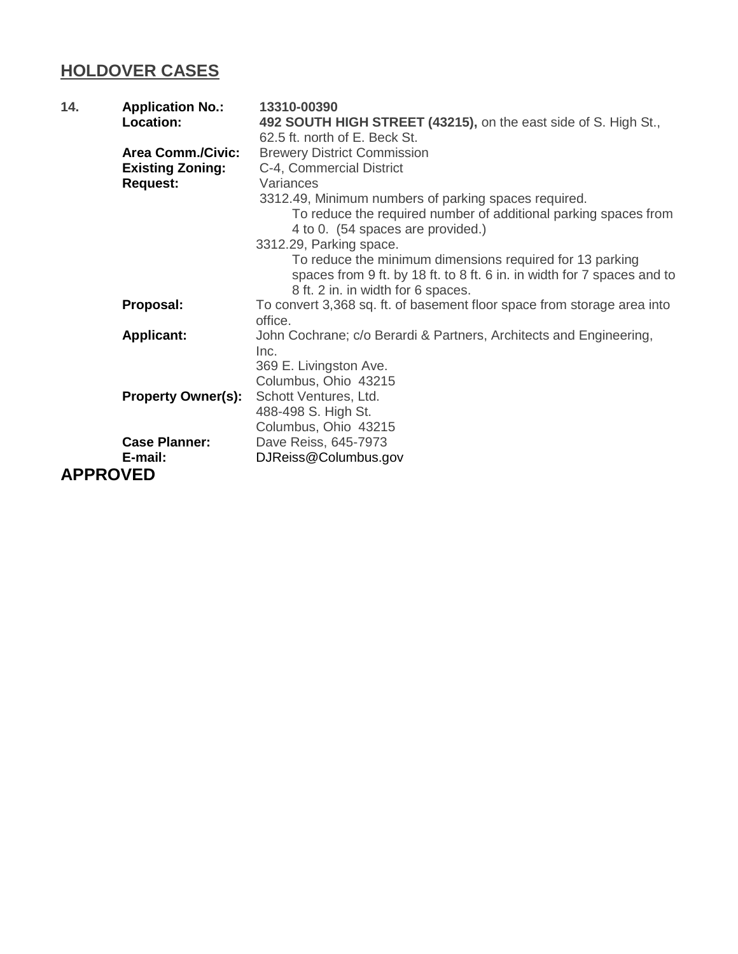## **HOLDOVER CASES**

| 14. | <b>Application No.:</b>   | 13310-00390                                                                                                                                                               |
|-----|---------------------------|---------------------------------------------------------------------------------------------------------------------------------------------------------------------------|
|     | Location:                 | 492 SOUTH HIGH STREET (43215), on the east side of S. High St.,                                                                                                           |
|     |                           | 62.5 ft. north of E. Beck St.                                                                                                                                             |
|     | <b>Area Comm./Civic:</b>  | <b>Brewery District Commission</b>                                                                                                                                        |
|     | <b>Existing Zoning:</b>   | C-4, Commercial District                                                                                                                                                  |
|     | <b>Request:</b>           | Variances                                                                                                                                                                 |
|     |                           | 3312.49, Minimum numbers of parking spaces required.<br>To reduce the required number of additional parking spaces from<br>4 to 0. (54 spaces are provided.)              |
|     |                           | 3312.29, Parking space.                                                                                                                                                   |
|     |                           | To reduce the minimum dimensions required for 13 parking<br>spaces from 9 ft. by 18 ft. to 8 ft. 6 in. in width for 7 spaces and to<br>8 ft. 2 in. in width for 6 spaces. |
|     | Proposal:                 | To convert 3,368 sq. ft. of basement floor space from storage area into<br>office.                                                                                        |
|     | <b>Applicant:</b>         | John Cochrane; c/o Berardi & Partners, Architects and Engineering,<br>Inc.<br>369 E. Livingston Ave.<br>Columbus, Ohio 43215                                              |
|     | <b>Property Owner(s):</b> | Schott Ventures, Ltd.<br>488-498 S. High St.<br>Columbus, Ohio 43215                                                                                                      |
|     | <b>Case Planner:</b>      | Dave Reiss, 645-7973                                                                                                                                                      |
|     | E-mail:                   | DJReiss@Columbus.gov                                                                                                                                                      |
|     | <b>APPROVED</b>           |                                                                                                                                                                           |